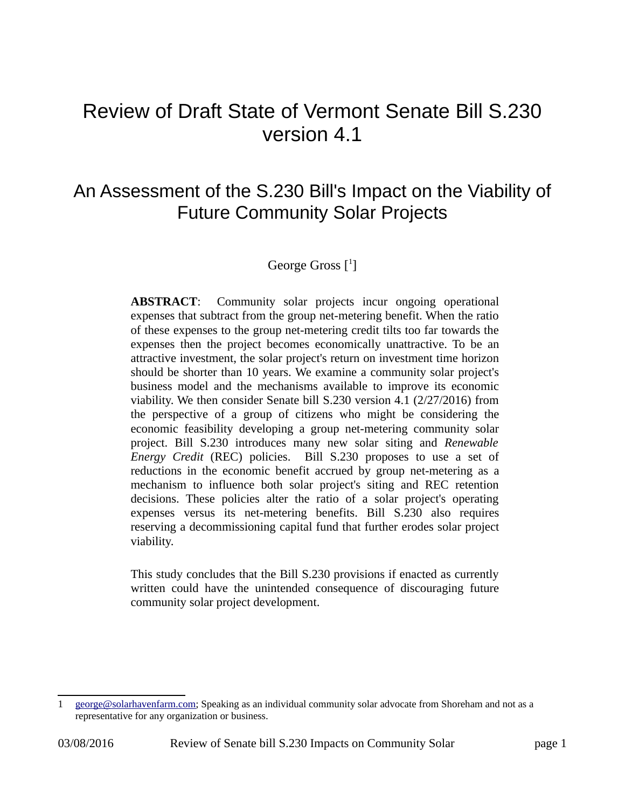# Review of Draft State of Vermont Senate Bill S.230 version 4.1

## An Assessment of the S.230 Bill's Impact on the Viability of Future Community Solar Projects

#### George Gross  $[$ <sup>[1](#page-0-0)</sup>]

**ABSTRACT**: Community solar projects incur ongoing operational expenses that subtract from the group net-metering benefit. When the ratio of these expenses to the group net-metering credit tilts too far towards the expenses then the project becomes economically unattractive. To be an attractive investment, the solar project's return on investment time horizon should be shorter than 10 years. We examine a community solar project's business model and the mechanisms available to improve its economic viability. We then consider Senate bill S.230 version 4.1 (2/27/2016) from the perspective of a group of citizens who might be considering the economic feasibility developing a group net-metering community solar project. Bill S.230 introduces many new solar siting and *Renewable Energy Credit* (REC) policies. Bill S.230 proposes to use a set of reductions in the economic benefit accrued by group net-metering as a mechanism to influence both solar project's siting and REC retention decisions. These policies alter the ratio of a solar project's operating expenses versus its net-metering benefits. Bill S.230 also requires reserving a decommissioning capital fund that further erodes solar project viability.

This study concludes that the Bill S.230 provisions if enacted as currently written could have the unintended consequence of discouraging future community solar project development.

<span id="page-0-0"></span><sup>1</sup> [george@solarhavenfarm.com;](mailto:george@solarhavenfarm.com) Speaking as an individual community solar advocate from Shoreham and not as a representative for any organization or business.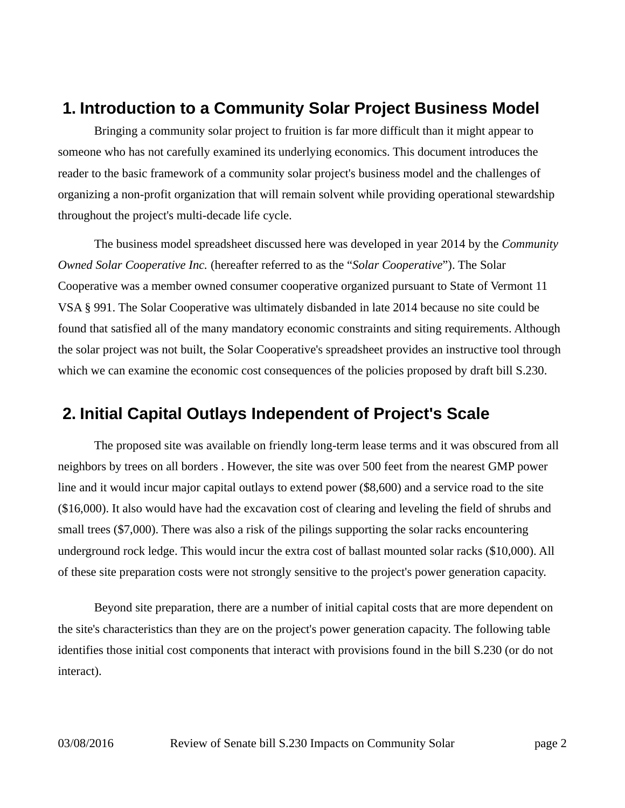#### **1. Introduction to a Community Solar Project Business Model**

Bringing a community solar project to fruition is far more difficult than it might appear to someone who has not carefully examined its underlying economics. This document introduces the reader to the basic framework of a community solar project's business model and the challenges of organizing a non-profit organization that will remain solvent while providing operational stewardship throughout the project's multi-decade life cycle.

The business model spreadsheet discussed here was developed in year 2014 by the *Community Owned Solar Cooperative Inc.* (hereafter referred to as the "*Solar Cooperative*"). The Solar Cooperative was a member owned consumer cooperative organized pursuant to State of Vermont 11 VSA § 991. The Solar Cooperative was ultimately disbanded in late 2014 because no site could be found that satisfied all of the many mandatory economic constraints and siting requirements. Although the solar project was not built, the Solar Cooperative's spreadsheet provides an instructive tool through which we can examine the economic cost consequences of the policies proposed by draft bill S.230.

#### **2. Initial Capital Outlays Independent of Project's Scale**

The proposed site was available on friendly long-term lease terms and it was obscured from all neighbors by trees on all borders . However, the site was over 500 feet from the nearest GMP power line and it would incur major capital outlays to extend power (\$8,600) and a service road to the site (\$16,000). It also would have had the excavation cost of clearing and leveling the field of shrubs and small trees (\$7,000). There was also a risk of the pilings supporting the solar racks encountering underground rock ledge. This would incur the extra cost of ballast mounted solar racks (\$10,000). All of these site preparation costs were not strongly sensitive to the project's power generation capacity.

Beyond site preparation, there are a number of initial capital costs that are more dependent on the site's characteristics than they are on the project's power generation capacity. The following table identifies those initial cost components that interact with provisions found in the bill S.230 (or do not interact).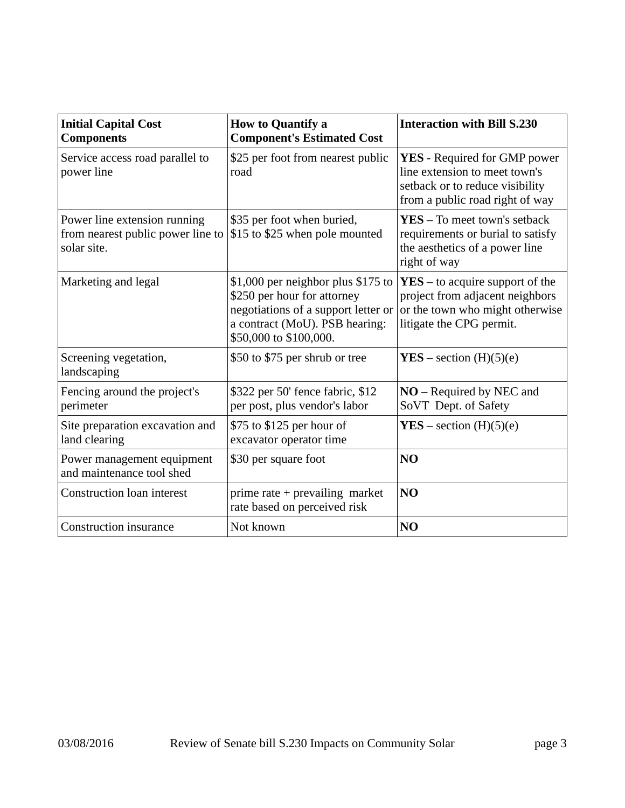| <b>Initial Capital Cost</b><br><b>Components</b>                                 | <b>How to Quantify a</b><br><b>Component's Estimated Cost</b>                                                                                                        | <b>Interaction with Bill S.230</b>                                                                                                         |
|----------------------------------------------------------------------------------|----------------------------------------------------------------------------------------------------------------------------------------------------------------------|--------------------------------------------------------------------------------------------------------------------------------------------|
| Service access road parallel to<br>power line                                    | \$25 per foot from nearest public<br>road                                                                                                                            | <b>YES</b> - Required for GMP power<br>line extension to meet town's<br>setback or to reduce visibility<br>from a public road right of way |
| Power line extension running<br>from nearest public power line to<br>solar site. | \$35 per foot when buried,<br>\$15 to \$25 when pole mounted                                                                                                         | $YES - To meet town's setback$<br>requirements or burial to satisfy<br>the aesthetics of a power line<br>right of way                      |
| Marketing and legal                                                              | \$1,000 per neighbor plus \$175 to<br>\$250 per hour for attorney<br>negotiations of a support letter or<br>a contract (MoU). PSB hearing:<br>\$50,000 to \$100,000. | $YES - to acquire support of the$<br>project from adjacent neighbors<br>or the town who might otherwise<br>litigate the CPG permit.        |
| Screening vegetation,<br>landscaping                                             | \$50 to \$75 per shrub or tree                                                                                                                                       | $YES – section (H)(5)(e)$                                                                                                                  |
| Fencing around the project's<br>perimeter                                        | \$322 per 50' fence fabric, \$12<br>per post, plus vendor's labor                                                                                                    | $NO$ – Required by NEC and<br>SoVT Dept. of Safety                                                                                         |
| Site preparation excavation and<br>land clearing                                 | \$75 to \$125 per hour of<br>excavator operator time                                                                                                                 | $YES - section (H)(5)(e)$                                                                                                                  |
| Power management equipment<br>and maintenance tool shed                          | \$30 per square foot                                                                                                                                                 | N <sub>O</sub>                                                                                                                             |
| <b>Construction loan interest</b>                                                | prime rate + prevailing market<br>rate based on perceived risk                                                                                                       | N <sub>O</sub>                                                                                                                             |
| <b>Construction insurance</b>                                                    | Not known                                                                                                                                                            | NO                                                                                                                                         |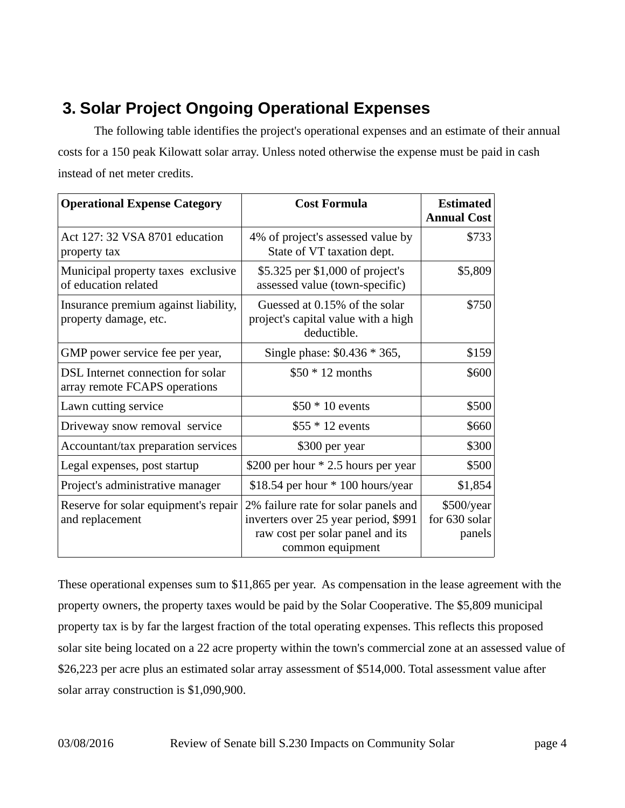## **3. Solar Project Ongoing Operational Expenses**

The following table identifies the project's operational expenses and an estimate of their annual costs for a 150 peak Kilowatt solar array. Unless noted otherwise the expense must be paid in cash instead of net meter credits.

| <b>Operational Expense Category</b>                                | <b>Cost Formula</b>                                                                                                                  | <b>Estimated</b><br><b>Annual Cost</b> |
|--------------------------------------------------------------------|--------------------------------------------------------------------------------------------------------------------------------------|----------------------------------------|
| Act 127: 32 VSA 8701 education<br>property tax                     | 4% of project's assessed value by<br>State of VT taxation dept.                                                                      | \$733                                  |
| Municipal property taxes exclusive<br>of education related         | \$5.325 per \$1,000 of project's<br>assessed value (town-specific)                                                                   | \$5,809                                |
| Insurance premium against liability,<br>property damage, etc.      | Guessed at 0.15% of the solar<br>project's capital value with a high<br>deductible.                                                  | \$750                                  |
| GMP power service fee per year,                                    | Single phase: \$0.436 * 365,                                                                                                         | \$159                                  |
| DSL Internet connection for solar<br>array remote FCAPS operations | $$50 * 12$ months                                                                                                                    | \$600                                  |
| Lawn cutting service                                               | $$50 * 10$ events                                                                                                                    | \$500                                  |
| Driveway snow removal service                                      | $$55*12$ events                                                                                                                      | \$660                                  |
| Accountant/tax preparation services                                | \$300 per year                                                                                                                       | \$300                                  |
| Legal expenses, post startup                                       | \$200 per hour * 2.5 hours per year                                                                                                  | \$500                                  |
| Project's administrative manager                                   | \$18.54 per hour $*$ 100 hours/year                                                                                                  | \$1,854                                |
| Reserve for solar equipment's repair<br>and replacement            | 2% failure rate for solar panels and<br>inverters over 25 year period, \$991<br>raw cost per solar panel and its<br>common equipment | \$500/year<br>for 630 solar<br>panels  |

These operational expenses sum to \$11,865 per year. As compensation in the lease agreement with the property owners, the property taxes would be paid by the Solar Cooperative. The \$5,809 municipal property tax is by far the largest fraction of the total operating expenses. This reflects this proposed solar site being located on a 22 acre property within the town's commercial zone at an assessed value of \$26,223 per acre plus an estimated solar array assessment of \$514,000. Total assessment value after solar array construction is \$1,090,900.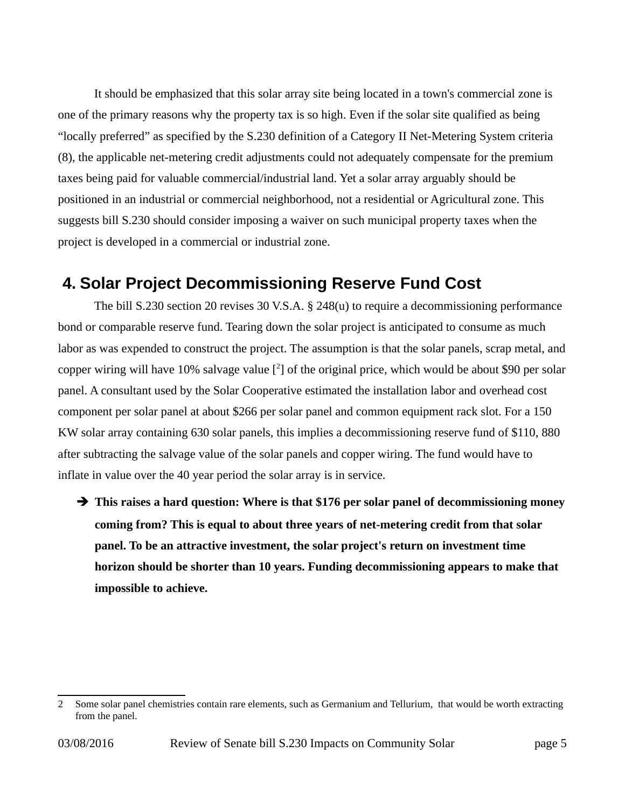It should be emphasized that this solar array site being located in a town's commercial zone is one of the primary reasons why the property tax is so high. Even if the solar site qualified as being "locally preferred" as specified by the S.230 definition of a Category II Net-Metering System criteria (8), the applicable net-metering credit adjustments could not adequately compensate for the premium taxes being paid for valuable commercial/industrial land. Yet a solar array arguably should be positioned in an industrial or commercial neighborhood, not a residential or Agricultural zone. This suggests bill S.230 should consider imposing a waiver on such municipal property taxes when the project is developed in a commercial or industrial zone.

#### **4. Solar Project Decommissioning Reserve Fund Cost**

The bill S.230 section 20 revises 30 V.S.A. § 248(u) to require a decommissioning performance bond or comparable reserve fund. Tearing down the solar project is anticipated to consume as much labor as was expended to construct the project. The assumption is that the solar panels, scrap metal, and copper wiring will have 10% salvage value [<sup>[2](#page-4-0)</sup>] of the original price, which would be about \$90 per solar panel. A consultant used by the Solar Cooperative estimated the installation labor and overhead cost component per solar panel at about \$266 per solar panel and common equipment rack slot. For a 150 KW solar array containing 630 solar panels, this implies a decommissioning reserve fund of \$110, 880 after subtracting the salvage value of the solar panels and copper wiring. The fund would have to inflate in value over the 40 year period the solar array is in service.

➔ **This raises a hard question: Where is that \$176 per solar panel of decommissioning money coming from? This is equal to about three years of net-metering credit from that solar panel. To be an attractive investment, the solar project's return on investment time horizon should be shorter than 10 years. Funding decommissioning appears to make that impossible to achieve.**

<span id="page-4-0"></span><sup>2</sup> Some solar panel chemistries contain rare elements, such as Germanium and Tellurium, that would be worth extracting from the panel.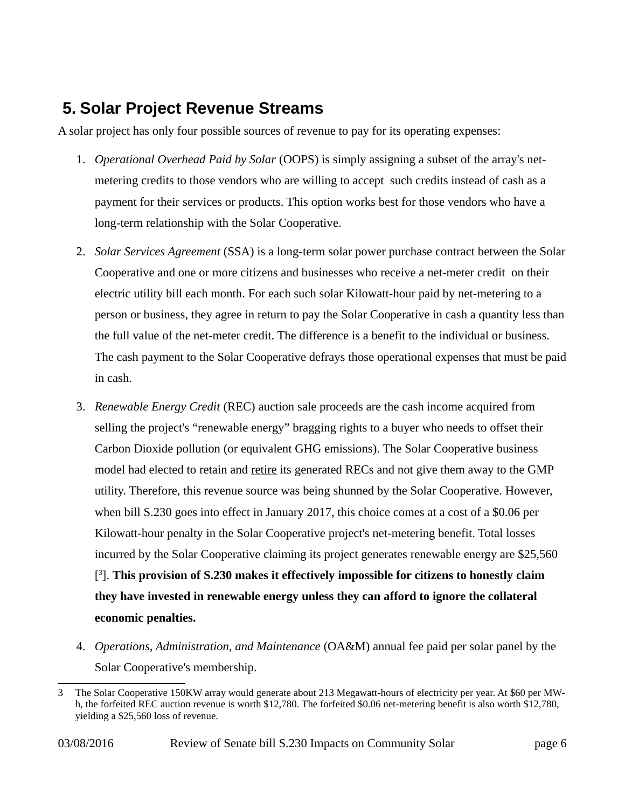### **5. Solar Project Revenue Streams**

A solar project has only four possible sources of revenue to pay for its operating expenses:

- 1. *Operational Overhead Paid by Solar* (OOPS) is simply assigning a subset of the array's netmetering credits to those vendors who are willing to accept such credits instead of cash as a payment for their services or products. This option works best for those vendors who have a long-term relationship with the Solar Cooperative.
- 2. *Solar Services Agreement* (SSA) is a long-term solar power purchase contract between the Solar Cooperative and one or more citizens and businesses who receive a net-meter credit on their electric utility bill each month. For each such solar Kilowatt-hour paid by net-metering to a person or business, they agree in return to pay the Solar Cooperative in cash a quantity less than the full value of the net-meter credit. The difference is a benefit to the individual or business. The cash payment to the Solar Cooperative defrays those operational expenses that must be paid in cash.
- 3. *Renewable Energy Credit* (REC) auction sale proceeds are the cash income acquired from selling the project's "renewable energy" bragging rights to a buyer who needs to offset their Carbon Dioxide pollution (or equivalent GHG emissions). The Solar Cooperative business model had elected to retain and retire its generated RECs and not give them away to the GMP utility. Therefore, this revenue source was being shunned by the Solar Cooperative. However, when bill S.230 goes into effect in January 2017, this choice comes at a cost of a \$0.06 per Kilowatt-hour penalty in the Solar Cooperative project's net-metering benefit. Total losses incurred by the Solar Cooperative claiming its project generates renewable energy are \$25,560 [ [3](#page-5-0) ]. **This provision of S.230 makes it effectively impossible for citizens to honestly claim they have invested in renewable energy unless they can afford to ignore the collateral economic penalties.**
- 4. *Operations, Administration, and Maintenance* (OA&M) annual fee paid per solar panel by the Solar Cooperative's membership.

03/08/2016 Review of Senate bill S.230 Impacts on Community Solar page 6

<span id="page-5-0"></span><sup>3</sup> The Solar Cooperative 150KW array would generate about 213 Megawatt-hours of electricity per year. At \$60 per MWh, the forfeited REC auction revenue is worth \$12,780. The forfeited \$0.06 net-metering benefit is also worth \$12,780, yielding a \$25,560 loss of revenue.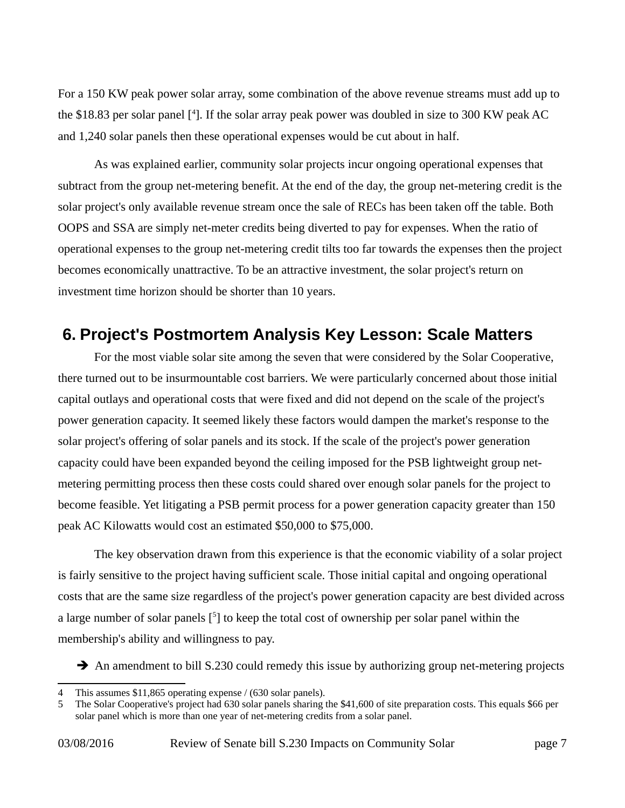For a 150 KW peak power solar array, some combination of the above revenue streams must add up to the \$18.83 per solar panel [<sup>[4](#page-6-0)</sup>]. If the solar array peak power was doubled in size to 300 KW peak AC and 1,240 solar panels then these operational expenses would be cut about in half.

As was explained earlier, community solar projects incur ongoing operational expenses that subtract from the group net-metering benefit. At the end of the day, the group net-metering credit is the solar project's only available revenue stream once the sale of RECs has been taken off the table. Both OOPS and SSA are simply net-meter credits being diverted to pay for expenses. When the ratio of operational expenses to the group net-metering credit tilts too far towards the expenses then the project becomes economically unattractive. To be an attractive investment, the solar project's return on investment time horizon should be shorter than 10 years.

#### **6. Project's Postmortem Analysis Key Lesson: Scale Matters**

For the most viable solar site among the seven that were considered by the Solar Cooperative, there turned out to be insurmountable cost barriers. We were particularly concerned about those initial capital outlays and operational costs that were fixed and did not depend on the scale of the project's power generation capacity. It seemed likely these factors would dampen the market's response to the solar project's offering of solar panels and its stock. If the scale of the project's power generation capacity could have been expanded beyond the ceiling imposed for the PSB lightweight group netmetering permitting process then these costs could shared over enough solar panels for the project to become feasible. Yet litigating a PSB permit process for a power generation capacity greater than 150 peak AC Kilowatts would cost an estimated \$50,000 to \$75,000.

The key observation drawn from this experience is that the economic viability of a solar project is fairly sensitive to the project having sufficient scale. Those initial capital and ongoing operational costs that are the same size regardless of the project's power generation capacity are best divided across a large number of solar panels  $[5]$  $[5]$  $[5]$  to keep the total cost of ownership per solar panel within the membership's ability and willingness to pay.

**→** An amendment to bill S.230 could remedy this issue by authorizing group net-metering projects

<span id="page-6-0"></span><sup>4</sup> This assumes \$11,865 operating expense / (630 solar panels).

<span id="page-6-1"></span><sup>5</sup> The Solar Cooperative's project had 630 solar panels sharing the \$41,600 of site preparation costs. This equals \$66 per solar panel which is more than one year of net-metering credits from a solar panel.